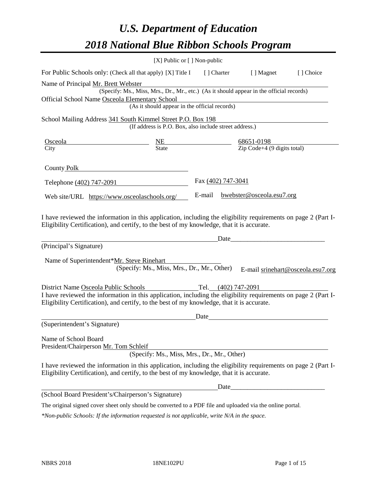# *U.S. Department of Education 2018 National Blue Ribbon Schools Program*

|                                                                                                                                                                                                                                                      | [X] Public or [] Non-public                                                              |                    |                                                         |                                   |
|------------------------------------------------------------------------------------------------------------------------------------------------------------------------------------------------------------------------------------------------------|------------------------------------------------------------------------------------------|--------------------|---------------------------------------------------------|-----------------------------------|
| For Public Schools only: (Check all that apply) [X] Title I                                                                                                                                                                                          |                                                                                          | [ ] Charter        | [ ] Magnet                                              | [] Choice                         |
| Name of Principal Mr. Brett Webster                                                                                                                                                                                                                  |                                                                                          |                    |                                                         |                                   |
|                                                                                                                                                                                                                                                      | (Specify: Ms., Miss, Mrs., Dr., Mr., etc.) (As it should appear in the official records) |                    |                                                         |                                   |
| Official School Name Osceola Elementary School                                                                                                                                                                                                       |                                                                                          |                    |                                                         |                                   |
|                                                                                                                                                                                                                                                      | (As it should appear in the official records)                                            |                    |                                                         |                                   |
| School Mailing Address 341 South Kimmel Street P.O. Box 198                                                                                                                                                                                          |                                                                                          |                    |                                                         |                                   |
|                                                                                                                                                                                                                                                      | (If address is P.O. Box, also include street address.)                                   |                    |                                                         |                                   |
| Osceola                                                                                                                                                                                                                                              | $\frac{NE}{State}$                                                                       |                    |                                                         |                                   |
| City                                                                                                                                                                                                                                                 |                                                                                          |                    | $\frac{68651-0198}{\text{Zip Code}+4 (9 digits total)}$ |                                   |
| County Polk                                                                                                                                                                                                                                          |                                                                                          |                    |                                                         |                                   |
| Telephone (402) 747-2091                                                                                                                                                                                                                             |                                                                                          | Fax (402) 747-3041 |                                                         |                                   |
| Web site/URL https://www.osceolaschools.org/                                                                                                                                                                                                         |                                                                                          | E-mail             | bwebster@osceola.esu7.org                               |                                   |
| (Principal's Signature)<br>Name of Superintendent*Mr. Steve Rinehart                                                                                                                                                                                 | (Specify: Ms., Miss, Mrs., Dr., Mr., Other)                                              | Date               |                                                         | E-mail srinehart@osceola.esu7.org |
|                                                                                                                                                                                                                                                      |                                                                                          |                    |                                                         |                                   |
| District Name Osceola Public Schools<br>I have reviewed the information in this application, including the eligibility requirements on page 2 (Part I-<br>Eligibility Certification), and certify, to the best of my knowledge, that it is accurate. |                                                                                          |                    | Tel. (402) 747-2091                                     |                                   |
|                                                                                                                                                                                                                                                      |                                                                                          | Date               |                                                         |                                   |
| (Superintendent's Signature)                                                                                                                                                                                                                         |                                                                                          |                    |                                                         |                                   |
| Name of School Board<br>President/Chairperson Mr. Tom Schleif                                                                                                                                                                                        | (Specify: Ms., Miss, Mrs., Dr., Mr., Other)                                              |                    |                                                         |                                   |
| I have reviewed the information in this application, including the eligibility requirements on page 2 (Part I-<br>Eligibility Certification), and certify, to the best of my knowledge, that it is accurate.                                         |                                                                                          |                    |                                                         |                                   |
|                                                                                                                                                                                                                                                      |                                                                                          |                    |                                                         |                                   |
| (School Board President's/Chairperson's Signature)                                                                                                                                                                                                   |                                                                                          |                    |                                                         |                                   |
| The original signed cover sheet only should be converted to a PDF file and uploaded via the online portal.                                                                                                                                           |                                                                                          |                    |                                                         |                                   |

*\*Non-public Schools: If the information requested is not applicable, write N/A in the space.*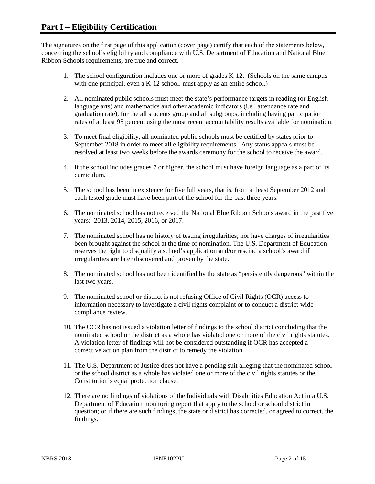The signatures on the first page of this application (cover page) certify that each of the statements below, concerning the school's eligibility and compliance with U.S. Department of Education and National Blue Ribbon Schools requirements, are true and correct.

- 1. The school configuration includes one or more of grades K-12. (Schools on the same campus with one principal, even a K-12 school, must apply as an entire school.)
- 2. All nominated public schools must meet the state's performance targets in reading (or English language arts) and mathematics and other academic indicators (i.e., attendance rate and graduation rate), for the all students group and all subgroups, including having participation rates of at least 95 percent using the most recent accountability results available for nomination.
- 3. To meet final eligibility, all nominated public schools must be certified by states prior to September 2018 in order to meet all eligibility requirements. Any status appeals must be resolved at least two weeks before the awards ceremony for the school to receive the award.
- 4. If the school includes grades 7 or higher, the school must have foreign language as a part of its curriculum.
- 5. The school has been in existence for five full years, that is, from at least September 2012 and each tested grade must have been part of the school for the past three years.
- 6. The nominated school has not received the National Blue Ribbon Schools award in the past five years: 2013, 2014, 2015, 2016, or 2017.
- 7. The nominated school has no history of testing irregularities, nor have charges of irregularities been brought against the school at the time of nomination. The U.S. Department of Education reserves the right to disqualify a school's application and/or rescind a school's award if irregularities are later discovered and proven by the state.
- 8. The nominated school has not been identified by the state as "persistently dangerous" within the last two years.
- 9. The nominated school or district is not refusing Office of Civil Rights (OCR) access to information necessary to investigate a civil rights complaint or to conduct a district-wide compliance review.
- 10. The OCR has not issued a violation letter of findings to the school district concluding that the nominated school or the district as a whole has violated one or more of the civil rights statutes. A violation letter of findings will not be considered outstanding if OCR has accepted a corrective action plan from the district to remedy the violation.
- 11. The U.S. Department of Justice does not have a pending suit alleging that the nominated school or the school district as a whole has violated one or more of the civil rights statutes or the Constitution's equal protection clause.
- 12. There are no findings of violations of the Individuals with Disabilities Education Act in a U.S. Department of Education monitoring report that apply to the school or school district in question; or if there are such findings, the state or district has corrected, or agreed to correct, the findings.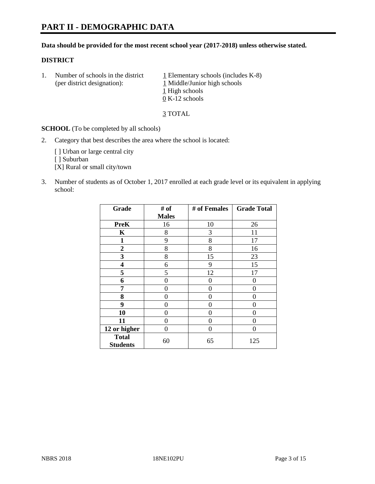# **PART II - DEMOGRAPHIC DATA**

#### **Data should be provided for the most recent school year (2017-2018) unless otherwise stated.**

#### **DISTRICT**

1. Number of schools in the district  $1$  Elementary schools (includes K-8) (per district designation): 1 Middle/Junior high schools 1 High schools 0 K-12 schools

3 TOTAL

**SCHOOL** (To be completed by all schools)

2. Category that best describes the area where the school is located:

[] Urban or large central city

[ ] Suburban

[X] Rural or small city/town

3. Number of students as of October 1, 2017 enrolled at each grade level or its equivalent in applying school:

| Grade                           | # of         | # of Females | <b>Grade Total</b> |
|---------------------------------|--------------|--------------|--------------------|
|                                 | <b>Males</b> |              |                    |
| <b>PreK</b>                     | 16           | 10           | 26                 |
| $\mathbf K$                     | 8            | 3            | 11                 |
| $\mathbf{1}$                    | 9            | 8            | 17                 |
| $\boldsymbol{2}$                | 8            | 8            | 16                 |
| 3                               | 8            | 15           | 23                 |
| 4                               | 6            | 9            | 15                 |
| 5                               | 5            | 12           | 17                 |
| 6                               | 0            | 0            | 0                  |
| 7                               | 0            | 0            | 0                  |
| 8                               | 0            | 0            | 0                  |
| 9                               | 0            | 0            | 0                  |
| 10                              | 0            | 0            | 0                  |
| 11                              | 0            | 0            | 0                  |
| 12 or higher                    | 0            | 0            | 0                  |
| <b>Total</b><br><b>Students</b> | 60           | 65           | 125                |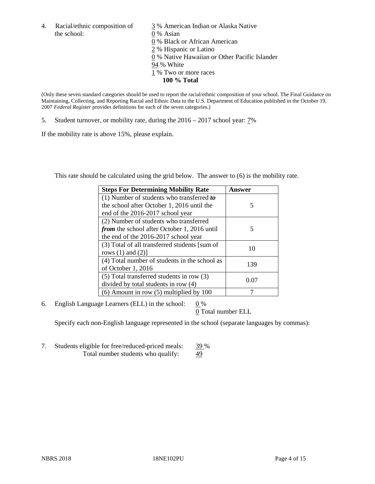the school: 0 % Asian

4. Racial/ethnic composition of  $\frac{3}{9}$ % American Indian or Alaska Native 0 % Black or African American 2 % Hispanic or Latino 0 % Native Hawaiian or Other Pacific Islander 94 % White 1 % Two or more races **100 % Total**

(Only these seven standard categories should be used to report the racial/ethnic composition of your school. The Final Guidance on Maintaining, Collecting, and Reporting Racial and Ethnic Data to the U.S. Department of Education published in the October 19, 2007 *Federal Register* provides definitions for each of the seven categories.)

5. Student turnover, or mobility rate, during the 2016 – 2017 school year: 7%

If the mobility rate is above 15%, please explain.

This rate should be calculated using the grid below. The answer to (6) is the mobility rate.

| <b>Steps For Determining Mobility Rate</b>         | Answer |
|----------------------------------------------------|--------|
| $(1)$ Number of students who transferred to        |        |
| the school after October 1, 2016 until the         | 5      |
| end of the 2016-2017 school year                   |        |
| (2) Number of students who transferred             |        |
| <i>from</i> the school after October 1, 2016 until | 5      |
| the end of the 2016-2017 school year               |        |
| (3) Total of all transferred students [sum of      | 10     |
| rows $(1)$ and $(2)$ ]                             |        |
| (4) Total number of students in the school as      |        |
| of October 1, 2016                                 | 139    |
| (5) Total transferred students in row (3)          |        |
| divided by total students in row (4)               | 0.07   |
| $(6)$ Amount in row $(5)$ multiplied by 100        |        |

6. English Language Learners (ELL) in the school:  $0\%$ 

0 Total number ELL

Specify each non-English language represented in the school (separate languages by commas):

7. Students eligible for free/reduced-priced meals: 39 % Total number students who qualify:  $\frac{49}{9}$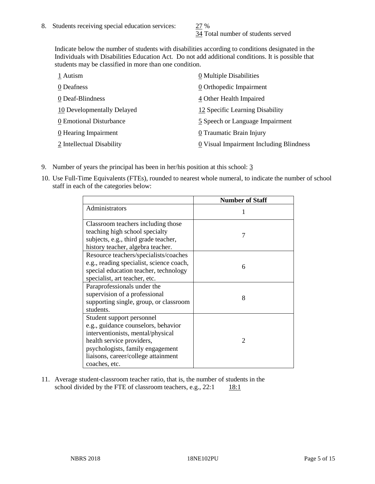34 Total number of students served

Indicate below the number of students with disabilities according to conditions designated in the Individuals with Disabilities Education Act. Do not add additional conditions. It is possible that students may be classified in more than one condition.

| 1 Autism                   | 0 Multiple Disabilities                 |
|----------------------------|-----------------------------------------|
| 0 Deafness                 | 0 Orthopedic Impairment                 |
| 0 Deaf-Blindness           | 4 Other Health Impaired                 |
| 10 Developmentally Delayed | 12 Specific Learning Disability         |
| 0 Emotional Disturbance    | 5 Speech or Language Impairment         |
| 0 Hearing Impairment       | 0 Traumatic Brain Injury                |
| 2 Intellectual Disability  | 0 Visual Impairment Including Blindness |

- 9. Number of years the principal has been in her/his position at this school: 3
- 10. Use Full-Time Equivalents (FTEs), rounded to nearest whole numeral, to indicate the number of school staff in each of the categories below:

|                                                                                                                                                                                                                                | <b>Number of Staff</b> |
|--------------------------------------------------------------------------------------------------------------------------------------------------------------------------------------------------------------------------------|------------------------|
| Administrators                                                                                                                                                                                                                 |                        |
| Classroom teachers including those<br>teaching high school specialty<br>subjects, e.g., third grade teacher,<br>history teacher, algebra teacher.                                                                              |                        |
| Resource teachers/specialists/coaches<br>e.g., reading specialist, science coach,<br>special education teacher, technology<br>specialist, art teacher, etc.                                                                    | 6                      |
| Paraprofessionals under the<br>supervision of a professional<br>supporting single, group, or classroom<br>students.                                                                                                            | 8                      |
| Student support personnel<br>e.g., guidance counselors, behavior<br>interventionists, mental/physical<br>health service providers,<br>psychologists, family engagement<br>liaisons, career/college attainment<br>coaches, etc. | $\mathfrak{D}$         |

11. Average student-classroom teacher ratio, that is, the number of students in the school divided by the FTE of classroom teachers, e.g.,  $22:1$  18:1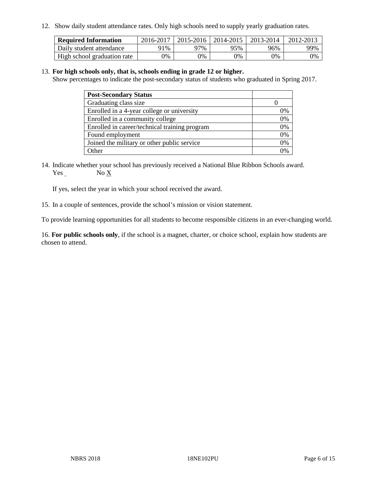12. Show daily student attendance rates. Only high schools need to supply yearly graduation rates.

| <b>Required Information</b> | 2016-2017 | 2015-2016 1 | $12014 - 2015$ | 2013-2014 | 2012-2013 |
|-----------------------------|-----------|-------------|----------------|-----------|-----------|
| Daily student attendance    | 91%       | 97%         | 95%            | 96%       | 99%       |
| High school graduation rate | 0%        | 0%          | 0%             | 9%        | 0%        |

#### 13. **For high schools only, that is, schools ending in grade 12 or higher.**

Show percentages to indicate the post-secondary status of students who graduated in Spring 2017.

| <b>Post-Secondary Status</b>                  |              |
|-----------------------------------------------|--------------|
| Graduating class size                         |              |
| Enrolled in a 4-year college or university    | 0%           |
| Enrolled in a community college               | 0%           |
| Enrolled in career/technical training program | 0%           |
| Found employment                              | 0%           |
| Joined the military or other public service   | 0%           |
| Other                                         | $\gamma_{0}$ |

14. Indicate whether your school has previously received a National Blue Ribbon Schools award. Yes No X

If yes, select the year in which your school received the award.

15. In a couple of sentences, provide the school's mission or vision statement.

To provide learning opportunities for all students to become responsible citizens in an ever-changing world.

16. **For public schools only**, if the school is a magnet, charter, or choice school, explain how students are chosen to attend.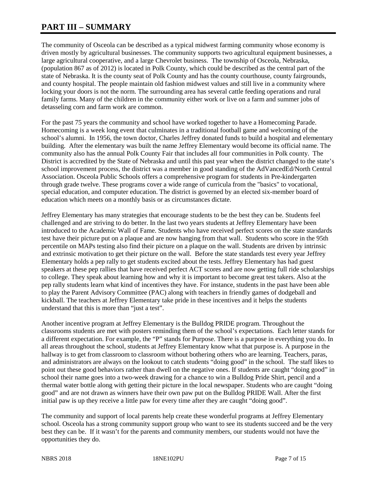# **PART III – SUMMARY**

The community of Osceola can be described as a typical midwest farming community whose economy is driven mostly by agricultural businesses. The community supports two agricultural equipment businesses, a large agricultural cooperative, and a large Chevrolet business. The township of Osceola, Nebraska, (population 867 as of 2012) is located in Polk County, which could be described as the central part of the state of Nebraska. It is the county seat of Polk County and has the county courthouse, county fairgrounds, and county hospital. The people maintain old fashion midwest values and still live in a community where locking your doors is not the norm. The surrounding area has several cattle feeding operations and rural family farms. Many of the children in the community either work or live on a farm and summer jobs of detasseling corn and farm work are common.

For the past 75 years the community and school have worked together to have a Homecoming Parade. Homecoming is a week long event that culminates in a traditional football game and welcoming of the school's alumni. In 1956, the town doctor, Charles Jeffrey donated funds to build a hospital and elementary building. After the elementary was built the name Jeffrey Elementary would become its official name. The community also has the annual Polk County Fair that includes all four communities in Polk county. The District is accredited by the State of Nebraska and until this past year when the district changed to the state's school improvement process, the district was a member in good standing of the AdVancedEd/North Central Association. Osceola Public Schools offers a comprehensive program for students in Pre-kindergarten through grade twelve. These programs cover a wide range of curricula from the "basics" to vocational, special education, and computer education. The district is governed by an elected six-member board of education which meets on a monthly basis or as circumstances dictate.

Jeffrey Elementary has many strategies that encourage students to be the best they can be. Students feel challenged and are striving to do better. In the last two years students at Jeffrey Elementary have been introduced to the Academic Wall of Fame. Students who have received perfect scores on the state standards test have their picture put on a plaque and are now hanging from that wall. Students who score in the 95th percentile on MAPs testing also find their picture on a plaque on the wall. Students are driven by intrinsic and extrinsic motivation to get their picture on the wall. Before the state standards test every year Jeffrey Elementary holds a pep rally to get students excited about the tests. Jeffrey Elementary has had guest speakers at these pep rallies that have received perfect ACT scores and are now getting full ride scholarships to college. They speak about learning how and why it is important to become great test takers. Also at the pep rally students learn what kind of incentives they have. For instance, students in the past have been able to play the Parent Advisory Committee (PAC) along with teachers in friendly games of dodgeball and kickball. The teachers at Jeffrey Elementary take pride in these incentives and it helps the students understand that this is more than "just a test".

Another incentive program at Jeffrey Elementary is the Bulldog PRIDE program. Throughout the classrooms students are met with posters reminding them of the school's expectations. Each letter stands for a different expectation. For example, the "P" stands for Purpose. There is a purpose in everything you do. In all areas throughout the school, students at Jeffrey Elementary know what that purpose is. A purpose in the hallway is to get from classroom to classroom without bothering others who are learning. Teachers, paras, and administrators are always on the lookout to catch students "doing good" in the school. The staff likes to point out these good behaviors rather than dwell on the negative ones. If students are caught "doing good" in school their name goes into a two-week drawing for a chance to win a Bulldog Pride Shirt, pencil and a thermal water bottle along with getting their picture in the local newspaper. Students who are caught "doing good" and are not drawn as winners have their own paw put on the Bulldog PRIDE Wall. After the first initial paw is up they receive a little paw for every time after they are caught "doing good".

The community and support of local parents help create these wonderful programs at Jeffrey Elementary school. Osceola has a strong community support group who want to see its students succeed and be the very best they can be. If it wasn't for the parents and community members, our students would not have the opportunities they do.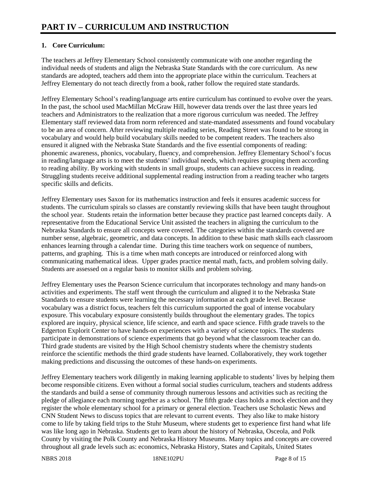## **1. Core Curriculum:**

The teachers at Jeffrey Elementary School consistently communicate with one another regarding the individual needs of students and align the Nebraska State Standards with the core curriculum. As new standards are adopted, teachers add them into the appropriate place within the curriculum. Teachers at Jeffrey Elementary do not teach directly from a book, rather follow the required state standards.

Jeffrey Elementary School's reading/language arts entire curriculum has continued to evolve over the years. In the past, the school used MacMillan McGraw Hill, however data trends over the last three years led teachers and Administrators to the realization that a more rigorous curriculum was needed. The Jeffrey Elementary staff reviewed data from norm referenced and state-mandated assessments and found vocabulary to be an area of concern. After reviewing multiple reading series, Reading Street was found to be strong in vocabulary and would help build vocabulary skills needed to be competent readers. The teachers also ensured it aligned with the Nebraska State Standards and the five essential components of reading: phonemic awareness, phonics, vocabulary, fluency, and comprehension. Jeffrey Elementary School's focus in reading/language arts is to meet the students' individual needs, which requires grouping them according to reading ability. By working with students in small groups, students can achieve success in reading. Struggling students receive additional supplemental reading instruction from a reading teacher who targets specific skills and deficits.

Jeffrey Elementary uses Saxon for its mathematics instruction and feels it ensures academic success for students. The curriculum spirals so classes are constantly reviewing skills that have been taught throughout the school year. Students retain the information better because they practice past learned concepts daily. A representative from the Educational Service Unit assisted the teachers in aligning the curriculum to the Nebraska Standards to ensure all concepts were covered. The categories within the standards covered are number sense, algebraic, geometric, and data concepts. In addition to these basic math skills each classroom enhances learning through a calendar time. During this time teachers work on sequence of numbers, patterns, and graphing. This is a time when math concepts are introduced or reinforced along with communicating mathematical ideas. Upper grades practice mental math, facts, and problem solving daily. Students are assessed on a regular basis to monitor skills and problem solving.

Jeffrey Elementary uses the Pearson Science curriculum that incorporates technology and many hands-on activities and experiments. The staff went through the curriculum and aligned it to the Nebraska State Standards to ensure students were learning the necessary information at each grade level. Because vocabulary was a district focus, teachers felt this curriculum supported the goal of intense vocabulary exposure. This vocabulary exposure consistently builds throughout the elementary grades. The topics explored are inquiry, physical science, life science, and earth and space science. Fifth grade travels to the Edgerton Explorit Center to have hands-on experiences with a variety of science topics. The students participate in demonstrations of science experiments that go beyond what the classroom teacher can do. Third grade students are visited by the High School chemistry students where the chemistry students reinforce the scientific methods the third grade students have learned. Collaboratively, they work together making predictions and discussing the outcomes of these hands-on experiments.

Jeffrey Elementary teachers work diligently in making learning applicable to students' lives by helping them become responsible citizens. Even without a formal social studies curriculum, teachers and students address the standards and build a sense of community through numerous lessons and activities such as reciting the pledge of allegiance each morning together as a school. The fifth grade class holds a mock election and they register the whole elementary school for a primary or general election. Teachers use Scholastic News and CNN Student News to discuss topics that are relevant to current events. They also like to make history come to life by taking field trips to the Stuhr Museum, where students get to experience first hand what life was like long ago in Nebraska. Students get to learn about the history of Nebraska, Osceola, and Polk County by visiting the Polk County and Nebraska History Museums. Many topics and concepts are covered throughout all grade levels such as: economics, Nebraska History, States and Capitals, United States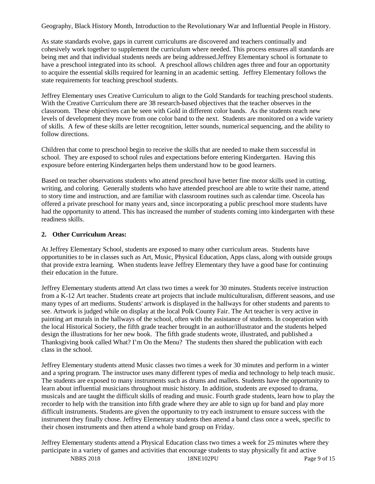Geography, Black History Month, Introduction to the Revolutionary War and Influential People in History.

As state standards evolve, gaps in current curriculums are discovered and teachers continually and cohesively work together to supplement the curriculum where needed. This process ensures all standards are being met and that individual students needs are being addressed.Jeffrey Elementary school is fortunate to have a preschool integrated into its school. A preschool allows children ages three and four an opportunity to acquire the essential skills required for learning in an academic setting. Jeffrey Elementary follows the state requirements for teaching preschool students.

Jeffrey Elementary uses Creative Curriculum to align to the Gold Standards for teaching preschool students. With the Creative Curriculum there are 38 research-based objectives that the teacher observes in the classroom. These objectives can be seen with Gold in different color bands. As the students reach new levels of development they move from one color band to the next. Students are monitored on a wide variety of skills. A few of these skills are letter recognition, letter sounds, numerical sequencing, and the ability to follow directions.

Children that come to preschool begin to receive the skills that are needed to make them successful in school. They are exposed to school rules and expectations before entering Kindergarten. Having this exposure before entering Kindergarten helps them understand how to be good learners.

Based on teacher observations students who attend preschool have better fine motor skills used in cutting, writing, and coloring. Generally students who have attended preschool are able to write their name, attend to story time and instruction, and are familiar with classroom routines such as calendar time. Osceola has offered a private preschool for many years and, since incorporating a public preschool more students have had the opportunity to attend. This has increased the number of students coming into kindergarten with these readiness skills.

#### **2. Other Curriculum Areas:**

At Jeffrey Elementary School, students are exposed to many other curriculum areas. Students have opportunities to be in classes such as Art, Music, Physical Education, Apps class, along with outside groups that provide extra learning. When students leave Jeffrey Elementary they have a good base for continuing their education in the future.

Jeffrey Elementary students attend Art class two times a week for 30 minutes. Students receive instruction from a K-12 Art teacher. Students create art projects that include multiculturalism, different seasons, and use many types of art mediums. Students' artwork is displayed in the hallways for other students and parents to see. Artwork is judged while on display at the local Polk County Fair. The Art teacher is very active in painting art murals in the hallways of the school, often with the assistance of students. In cooperation with the local Historical Society, the fifth grade teacher brought in an author/illustrator and the students helped design the illustrations for her new book. The fifth grade students wrote, illustrated, and published a Thanksgiving book called What? I'm On the Menu? The students then shared the publication with each class in the school.

Jeffrey Elementary students attend Music classes two times a week for 30 minutes and perform in a winter and a spring program. The instructor uses many different types of media and technology to help teach music. The students are exposed to many instruments such as drums and mallets. Students have the opportunity to learn about influential musicians throughout music history. In addition, students are exposed to drama, musicals and are taught the difficult skills of reading and music. Fourth grade students, learn how to play the recorder to help with the transition into fifth grade where they are able to sign up for band and play more difficult instruments. Students are given the opportunity to try each instrument to ensure success with the instrument they finally chose. Jeffrey Elementary students then attend a band class once a week, specific to their chosen instruments and then attend a whole band group on Friday.

Jeffrey Elementary students attend a Physical Education class two times a week for 25 minutes where they participate in a variety of games and activities that encourage students to stay physically fit and active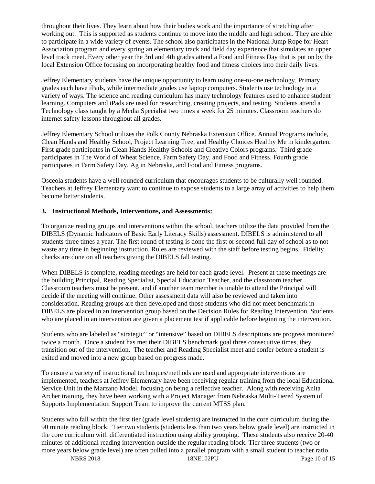throughout their lives. They learn about how their bodies work and the importance of stretching after working out. This is supported as students continue to move into the middle and high school. They are able to participate in a wide variety of events. The school also participates in the National Jump Rope for Heart Association program and every spring an elementary track and field day experience that simulates an upper level track meet. Every other year the 3rd and 4th grades attend a Food and Fitness Day that is put on by the local Extension Office focusing on incorporating healthy food and fitness choices into their daily lives.

Jeffrey Elementary students have the unique opportunity to learn using one-to-one technology. Primary grades each have iPads, while intermediate grades use laptop computers. Students use technology in a variety of ways. The science and reading curriculum has many technology features used to enhance student learning. Computers and iPads are used for researching, creating projects, and testing. Students attend a Technology class taught by a Media Specialist two times a week for 25 minutes. Classroom teachers do internet safety lessons throughout all grades.

Jeffrey Elementary School utilizes the Polk County Nebraska Extension Office. Annual Programs include, Clean Hands and Healthy School, Project Learning Tree, and Healthy Choices Healthy Me in kindergarten. First grade participates in Clean Hands Healthy Schools and Creative Colors programs. Third grade participates in The World of Wheat Science, Farm Safety Day, and Food and Fitness. Fourth grade participates in Farm Safety Day, Ag in Nebraska, and Food and Fitness programs.

Osceola students have a well rounded curriculum that encourages students to be culturally well rounded. Teachers at Jeffrey Elementary want to continue to expose students to a large array of activities to help them become better students.

#### **3. Instructional Methods, Interventions, and Assessments:**

To organize reading groups and interventions within the school, teachers utilize the data provided from the DIBELS (Dynamic Indicators of Basic Early Literacy Skills) assessment. DIBELS is administered to all students three times a year. The first round of testing is done the first or second full day of school as to not waste any time in beginning instruction. Rules are reviewed with the staff before testing begins. Fidelity checks are done on all teachers giving the DIBELS fall testing.

When DIBELS is complete, reading meetings are held for each grade level. Present at these meetings are the building Principal, Reading Specialist, Special Education Teacher, and the classroom teacher. Classroom teachers must be present, and if another team member is unable to attend the Principal will decide if the meeting will continue. Other assessment data will also be reviewed and taken into consideration. Reading groups are then developed and those students who did not meet benchmark in DIBELS are placed in an intervention group based on the Decision Rules for Reading Intervention. Students who are placed in an intervention are given a placement test if applicable before beginning the intervention.

Students who are labeled as "strategic" or "intensive" based on DIBELS descriptions are progress monitored twice a month. Once a student has met their DIBELS benchmark goal three consecutive times, they transition out of the intervention. The teacher and Reading Specialist meet and confer before a student is exited and moved into a new group based on progress made.

To ensure a variety of instructional techniques/methods are used and appropriate interventions are implemented, teachers at Jeffrey Elementary have been receiving regular training from the local Educational Service Unit in the Marzano Model, focusing on being a reflective teacher. Along with receiving Anita Archer training, they have been working with a Project Manager from Nebraska Multi-Tiered System of Supports Implementation Support Team to improve the current MTSS plan.

Students who fall within the first tier (grade level students) are instructed in the core curriculum during the 90 minute reading block. Tier two students (students less than two years below grade level) are instructed in the core curriculum with differentiated instruction using ability grouping. These students also receive 20-40 minutes of additional reading intervention outside the regular reading block. Tier three students (two or more years below grade level) are often pulled into a parallel program with a small student to teacher ratio.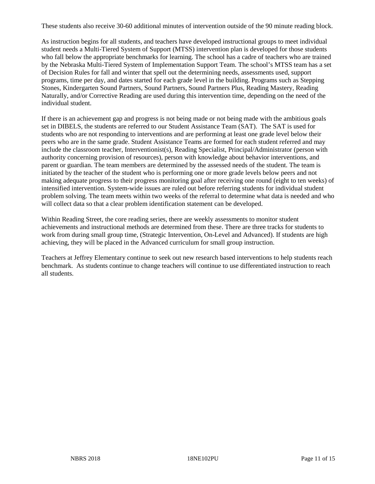These students also receive 30-60 additional minutes of intervention outside of the 90 minute reading block.

As instruction begins for all students, and teachers have developed instructional groups to meet individual student needs a Multi-Tiered System of Support (MTSS) intervention plan is developed for those students who fall below the appropriate benchmarks for learning. The school has a cadre of teachers who are trained by the Nebraska Multi-Tiered System of Implementation Support Team. The school's MTSS team has a set of Decision Rules for fall and winter that spell out the determining needs, assessments used, support programs, time per day, and dates started for each grade level in the building. Programs such as Stepping Stones, Kindergarten Sound Partners, Sound Partners, Sound Partners Plus, Reading Mastery, Reading Naturally, and/or Corrective Reading are used during this intervention time, depending on the need of the individual student.

If there is an achievement gap and progress is not being made or not being made with the ambitious goals set in DIBELS, the students are referred to our Student Assistance Team (SAT). The SAT is used for students who are not responding to interventions and are performing at least one grade level below their peers who are in the same grade. Student Assistance Teams are formed for each student referred and may include the classroom teacher, Interventionist(s), Reading Specialist, Principal/Administrator (person with authority concerning provision of resources), person with knowledge about behavior interventions, and parent or guardian. The team members are determined by the assessed needs of the student. The team is initiated by the teacher of the student who is performing one or more grade levels below peers and not making adequate progress to their progress monitoring goal after receiving one round (eight to ten weeks) of intensified intervention. System-wide issues are ruled out before referring students for individual student problem solving. The team meets within two weeks of the referral to determine what data is needed and who will collect data so that a clear problem identification statement can be developed.

Within Reading Street, the core reading series, there are weekly assessments to monitor student achievements and instructional methods are determined from these. There are three tracks for students to work from during small group time, (Strategic Intervention, On-Level and Advanced). If students are high achieving, they will be placed in the Advanced curriculum for small group instruction.

Teachers at Jeffrey Elementary continue to seek out new research based interventions to help students reach benchmark. As students continue to change teachers will continue to use differentiated instruction to reach all students.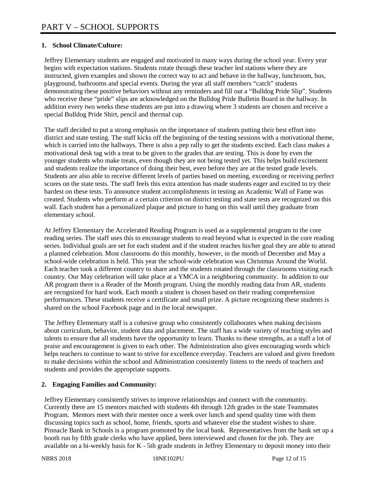## **1. School Climate/Culture:**

Jeffrey Elementary students are engaged and motivated in many ways during the school year. Every year begins with expectation stations. Students rotate through these teacher led stations where they are instructed, given examples and shown the correct way to act and behave in the hallway, lunchroom, bus, playground, bathrooms and special events. During the year all staff members "catch" students demonstrating these positive behaviors without any reminders and fill out a "Bulldog Pride Slip". Students who receive these "pride" slips are acknowledged on the Bulldog Pride Bulletin Board in the hallway. In addition every two weeks these students are put into a drawing where 3 students are chosen and receive a special Bulldog Pride Shirt, pencil and thermal cup.

The staff decided to put a strong emphasis on the importance of students putting their best effort into district and state testing. The staff kicks off the beginning of the testing sessions with a motivational theme, which is carried into the hallways. There is also a pep rally to get the students excited. Each class makes a motivational desk tag with a treat to be given to the grades that are testing. This is done by even the younger students who make treats, even though they are not being tested yet. This helps build excitement and students realize the importance of doing their best, even before they are at the tested grade levels. Students are also able to receive different levels of parties based on meeting, exceeding or receiving perfect scores on the state tests. The staff feels this extra attention has made students eager and excited to try their hardest on these tests. To announce student accomplishments in testing an Academic Wall of Fame was created. Students who perform at a certain criterion on district testing and state tests are recognized on this wall. Each student has a personalized plaque and picture to hang on this wall until they graduate from elementary school.

At Jeffrey Elementary the Accelerated Reading Program is used as a supplemental program to the core reading series. The staff uses this to encourage students to read beyond what is expected in the core reading series. Individual goals are set for each student and if the student reaches his/her goal they are able to attend a planned celebration. Most classrooms do this monthly, however, in the month of December and May a school-wide celebration is held. This year the school-wide celebration was Christmas Around the World. Each teacher took a different country to share and the students rotated through the classrooms visiting each country. Our May celebration will take place at a YMCA in a neighboring community. In addition to our AR program there is a Reader of the Month program. Using the monthly reading data from AR, students are recognized for hard work. Each month a student is chosen based on their reading comprehension performances. These students receive a certificate and small prize. A picture recognizing these students is shared on the school Facebook page and in the local newspaper.

The Jeffrey Elementary staff is a cohesive group who consistently collaborates when making decisions about curriculum, behavior, student data and placement. The staff has a wide variety of teaching styles and talents to ensure that all students have the opportunity to learn. Thanks to these strengths, as a staff a lot of praise and encouragement is given to each other. The Administration also gives encouraging words which helps teachers to continue to want to strive for excellence everyday. Teachers are valued and given freedom to make decisions within the school and Administration consistently listens to the needs of teachers and students and provides the appropriate supports.

#### **2. Engaging Families and Community:**

Jeffrey Elementary consistently strives to improve relationships and connect with the community. Currently there are 15 mentors matched with students 4th through 12th grades in the state Teammates Program. Mentors meet with their mentee once a week over lunch and spend quality time with them discussing topics such as school, home, friends, sports and whatever else the student wishes to share. Pinnacle Bank in Schools is a program promoted by the local bank. Representatives from the bank set up a booth run by fifth grade clerks who have applied, been interviewed and chosen for the job. They are available on a bi-weekly basis for K - 5th grade students in Jeffrey Elementary to deposit money into their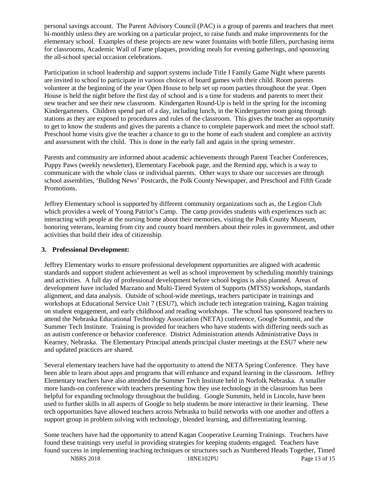personal savings account. The Parent Advisory Council (PAC) is a group of parents and teachers that meet bi-monthly unless they are working on a particular project, to raise funds and make improvements for the elementary school. Examples of these projects are new water fountains with bottle fillers, purchasing items for classrooms, Academic Wall of Fame plaques, providing meals for evening gatherings, and sponsoring the all-school special occasion celebrations.

Participation in school leadership and support systems include Title I Family Game Night where parents are invited to school to participate in various choices of board games with their child. Room parents volunteer at the beginning of the year Open House to help set up room parties throughout the year. Open House is held the night before the first day of school and is a time for students and parents to meet their new teacher and see their new classroom. Kindergarten Round-Up is held in the spring for the incoming Kindergarteners. Children spend part of a day, including lunch, in the Kindergarten room going through stations as they are exposed to procedures and rules of the classroom. This gives the teacher an opportunity to get to know the students and gives the parents a chance to complete paperwork and meet the school staff. Preschool home visits give the teacher a chance to go to the home of each student and complete an activity and assessment with the child. This is done in the early fall and again in the spring semester.

Parents and community are informed about academic achievements through Parent Teacher Conferences, Puppy Paws (weekly newsletter), Elementary Facebook page, and the Remind app, which is a way to communicate with the whole class or individual parents. Other ways to share our successes are through school assemblies, 'Bulldog News' Postcards, the Polk County Newspaper, and Preschool and Fifth Grade Promotions.

Jeffrey Elementary school is supported by different community organizations such as, the Legion Club which provides a week of Young Patriot's Camp. The camp provides students with experiences such as: interacting with people at the nursing home about their memories, visiting the Polk County Museum, honoring veterans, learning from city and county board members about their roles in government, and other activities that build their idea of citizenship.

#### **3. Professional Development:**

Jeffrey Elementary works to ensure professional development opportunities are aligned with academic standards and support student achievement as well as school improvement by scheduling monthly trainings and activities. A full day of professional development before school begins is also planned. Areas of development have included Marzano and Multi-Tiered System of Supports (MTSS) workshops, standards alignment, and data analysis. Outside of school-wide meetings, teachers participate in trainings and workshops at Educational Service Unit 7 (ESU7), which include tech integration training, Kagan training on student engagement, and early childhood and reading workshops. The school has sponsored teachers to attend the Nebraska Educational Technology Association (NETA) conference, Google Summit, and the Summer Tech Institute. Training is provided for teachers who have students with differing needs such as an autism conference or behavior conference. District Administration attends Administrative Days in Kearney, Nebraska. The Elementary Principal attends principal cluster meetings at the ESU7 where new and updated practices are shared.

Several elementary teachers have had the opportunity to attend the NETA Spring Conference. They have been able to learn about apps and programs that will enhance and expand learning in the classroom. Jeffrey Elementary teachers have also attended the Summer Tech Institute held in Norfolk Nebraska. A smaller more hands-on conference with teachers presenting how they use technology in the classroom has been helpful for expanding technology throughout the building. Google Summits, held in Lincoln, have been used to further skills in all aspects of Google to help students be more interactive in their learning. These tech opportunities have allowed teachers across Nebraska to build networks with one another and offers a support group in problem solving with technology, blended learning, and differentiating learning.

Some teachers have had the opportunity to attend Kagan Cooperative Learning Trainings. Teachers have found these trainings very useful in providing strategies for keeping students engaged. Teachers have found success in implementing teaching techniques or structures such as Numbered Heads Together, Timed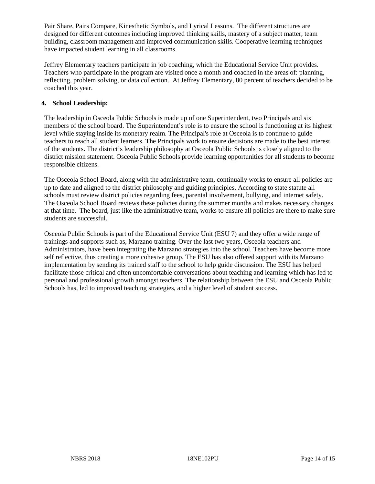Pair Share, Pairs Compare, Kinesthetic Symbols, and Lyrical Lessons. The different structures are designed for different outcomes including improved thinking skills, mastery of a subject matter, team building, classroom management and improved communication skills. Cooperative learning techniques have impacted student learning in all classrooms.

Jeffrey Elementary teachers participate in job coaching, which the Educational Service Unit provides. Teachers who participate in the program are visited once a month and coached in the areas of: planning, reflecting, problem solving, or data collection. At Jeffrey Elementary, 80 percent of teachers decided to be coached this year.

## **4. School Leadership:**

The leadership in Osceola Public Schools is made up of one Superintendent, two Principals and six members of the school board. The Superintendent's role is to ensure the school is functioning at its highest level while staying inside its monetary realm. The Principal's role at Osceola is to continue to guide teachers to reach all student learners. The Principals work to ensure decisions are made to the best interest of the students. The district's leadership philosophy at Osceola Public Schools is closely aligned to the district mission statement. Osceola Public Schools provide learning opportunities for all students to become responsible citizens.

The Osceola School Board, along with the administrative team, continually works to ensure all policies are up to date and aligned to the district philosophy and guiding principles. According to state statute all schools must review district policies regarding fees, parental involvement, bullying, and internet safety. The Osceola School Board reviews these policies during the summer months and makes necessary changes at that time. The board, just like the administrative team, works to ensure all policies are there to make sure students are successful.

Osceola Public Schools is part of the Educational Service Unit (ESU 7) and they offer a wide range of trainings and supports such as, Marzano training. Over the last two years, Osceola teachers and Administrators, have been integrating the Marzano strategies into the school. Teachers have become more self reflective, thus creating a more cohesive group. The ESU has also offered support with its Marzano implementation by sending its trained staff to the school to help guide discussion. The ESU has helped facilitate those critical and often uncomfortable conversations about teaching and learning which has led to personal and professional growth amongst teachers. The relationship between the ESU and Osceola Public Schools has, led to improved teaching strategies, and a higher level of student success.